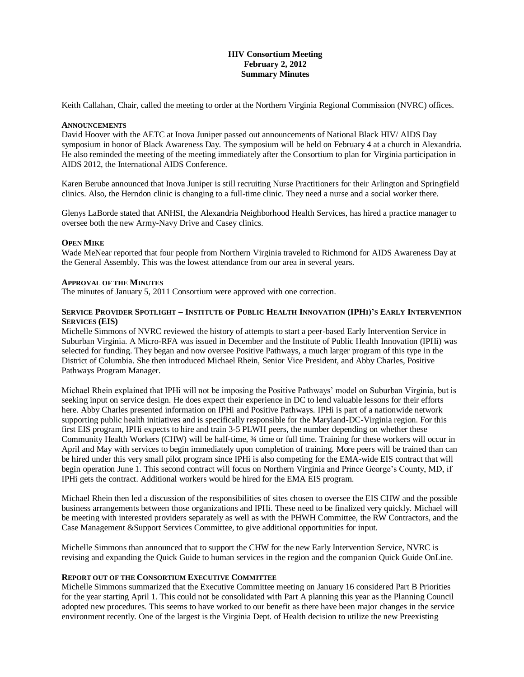## **HIV Consortium Meeting February 2, 2012 Summary Minutes**

Keith Callahan, Chair, called the meeting to order at the Northern Virginia Regional Commission (NVRC) offices.

#### **ANNOUNCEMENTS**

David Hoover with the AETC at Inova Juniper passed out announcements of National Black HIV/ AIDS Day symposium in honor of Black Awareness Day. The symposium will be held on February 4 at a church in Alexandria. He also reminded the meeting of the meeting immediately after the Consortium to plan for Virginia participation in AIDS 2012, the International AIDS Conference.

Karen Berube announced that Inova Juniper is still recruiting Nurse Practitioners for their Arlington and Springfield clinics. Also, the Herndon clinic is changing to a full-time clinic. They need a nurse and a social worker there.

Glenys LaBorde stated that ANHSI, the Alexandria Neighborhood Health Services, has hired a practice manager to oversee both the new Army-Navy Drive and Casey clinics.

#### **OPEN MIKE**

Wade MeNear reported that four people from Northern Virginia traveled to Richmond for AIDS Awareness Day at the General Assembly. This was the lowest attendance from our area in several years.

### **APPROVAL OF THE MINUTES**

The minutes of January 5, 2011 Consortium were approved with one correction.

#### SERVICE PROVIDER SPOTLIGHT - INSTITUTE OF PUBLIC HEALTH INNOVATION (IPHI)'S EARLY INTERVENTION **SERVICES (EIS)**

Michelle Simmons of NVRC reviewed the history of attempts to start a peer-based Early Intervention Service in Suburban Virginia. A Micro-RFA was issued in December and the Institute of Public Health Innovation (IPHi) was selected for funding. They began and now oversee Positive Pathways, a much larger program of this type in the District of Columbia. She then introduced Michael Rhein, Senior Vice President, and Abby Charles, Positive Pathways Program Manager.

Michael Rhein explained that IPHi will not be imposing the Positive Pathways' model on Suburban Virginia, but is seeking input on service design. He does expect their experience in DC to lend valuable lessons for their efforts here. Abby Charles presented information on IPHi and Positive Pathways. IPHi is part of a nationwide network supporting public health initiatives and is specifically responsible for the Maryland-DC-Virginia region. For this first EIS program, IPHi expects to hire and train 3-5 PLWH peers, the number depending on whether these Community Health Workers (CHW) will be half-time, ¾ time or full time. Training for these workers will occur in April and May with services to begin immediately upon completion of training. More peers will be trained than can be hired under this very small pilot program since IPHi is also competing for the EMA-wide EIS contract that will begin operation June 1. This second contract will focus on Northern Virginia and Prince George's County, MD, if IPHi gets the contract. Additional workers would be hired for the EMA EIS program.

Michael Rhein then led a discussion of the responsibilities of sites chosen to oversee the EIS CHW and the possible business arrangements between those organizations and IPHi. These need to be finalized very quickly. Michael will be meeting with interested providers separately as well as with the PHWH Committee, the RW Contractors, and the Case Management &Support Services Committee, to give additional opportunities for input.

Michelle Simmons than announced that to support the CHW for the new Early Intervention Service, NVRC is revising and expanding the Quick Guide to human services in the region and the companion Quick Guide OnLine.

#### **REPORT OUT OF THE CONSORTIUM EXECUTIVE COMMITTEE**

Michelle Simmons summarized that the Executive Committee meeting on January 16 considered Part B Priorities for the year starting April 1. This could not be consolidated with Part A planning this year as the Planning Council adopted new procedures. This seems to have worked to our benefit as there have been major changes in the service environment recently. One of the largest is the Virginia Dept. of Health decision to utilize the new Preexisting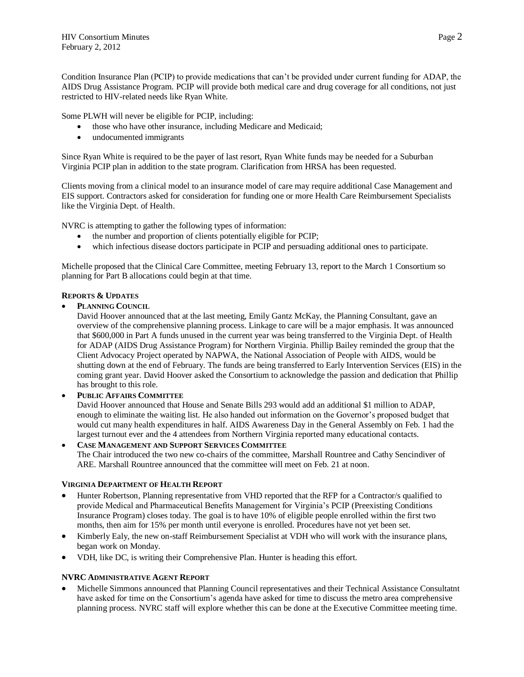Condition Insurance Plan (PCIP) to provide medications that can't be provided under current funding for ADAP, the AIDS Drug Assistance Program. PCIP will provide both medical care and drug coverage for all conditions, not just restricted to HIV-related needs like Ryan White.

Some PLWH will never be eligible for PCIP, including:

- those who have other insurance, including Medicare and Medicaid;
- undocumented immigrants

Since Ryan White is required to be the payer of last resort, Ryan White funds may be needed for a Suburban Virginia PCIP plan in addition to the state program. Clarification from HRSA has been requested.

Clients moving from a clinical model to an insurance model of care may require additional Case Management and EIS support. Contractors asked for consideration for funding one or more Health Care Reimbursement Specialists like the Virginia Dept. of Health.

NVRC is attempting to gather the following types of information:

- the number and proportion of clients potentially eligible for PCIP;
- which infectious disease doctors participate in PCIP and persuading additional ones to participate.

Michelle proposed that the Clinical Care Committee, meeting February 13, report to the March 1 Consortium so planning for Part B allocations could begin at that time.

## **REPORTS & UPDATES**

**PLANNING COUNCIL**

David Hoover announced that at the last meeting, Emily Gantz McKay, the Planning Consultant, gave an overview of the comprehensive planning process. Linkage to care will be a major emphasis. It was announced that \$600,000 in Part A funds unused in the current year was being transferred to the Virginia Dept. of Health for ADAP (AIDS Drug Assistance Program) for Northern Virginia. Phillip Bailey reminded the group that the Client Advocacy Project operated by NAPWA, the National Association of People with AIDS, would be shutting down at the end of February. The funds are being transferred to Early Intervention Services (EIS) in the coming grant year. David Hoover asked the Consortium to acknowledge the passion and dedication that Phillip has brought to this role.

# **PUBLIC AFFAIRS COMMITTEE**

David Hoover announced that House and Senate Bills 293 would add an additional \$1 million to ADAP, enough to eliminate the waiting list. He also handed out information on the Governor's proposed budget that would cut many health expenditures in half. AIDS Awareness Day in the General Assembly on Feb. 1 had the largest turnout ever and the 4 attendees from Northern Virginia reported many educational contacts.

 **CASE MANAGEMENT AND SUPPORT SERVICES COMMITTEE** The Chair introduced the two new co-chairs of the committee, Marshall Rountree and Cathy Sencindiver of ARE. Marshall Rountree announced that the committee will meet on Feb. 21 at noon.

## **VIRGINIA DEPARTMENT OF HEALTH REPORT**

- Hunter Robertson, Planning representative from VHD reported that the RFP for a Contractor/s qualified to provide Medical and Pharmaceutical Benefits Management for Virginia's PCIP (Preexisting Conditions Insurance Program) closes today. The goal is to have 10% of eligible people enrolled within the first two months, then aim for 15% per month until everyone is enrolled. Procedures have not yet been set.
- Kimberly Ealy, the new on-staff Reimbursement Specialist at VDH who will work with the insurance plans, began work on Monday.
- VDH, like DC, is writing their Comprehensive Plan. Hunter is heading this effort.

## **NVRC ADMINISTRATIVE AGENT REPORT**

 Michelle Simmons announced that Planning Council representatives and their Technical Assistance Consultatnt have asked for time on the Consortium's agenda have asked for time to discuss the metro area comprehensive planning process. NVRC staff will explore whether this can be done at the Executive Committee meeting time.